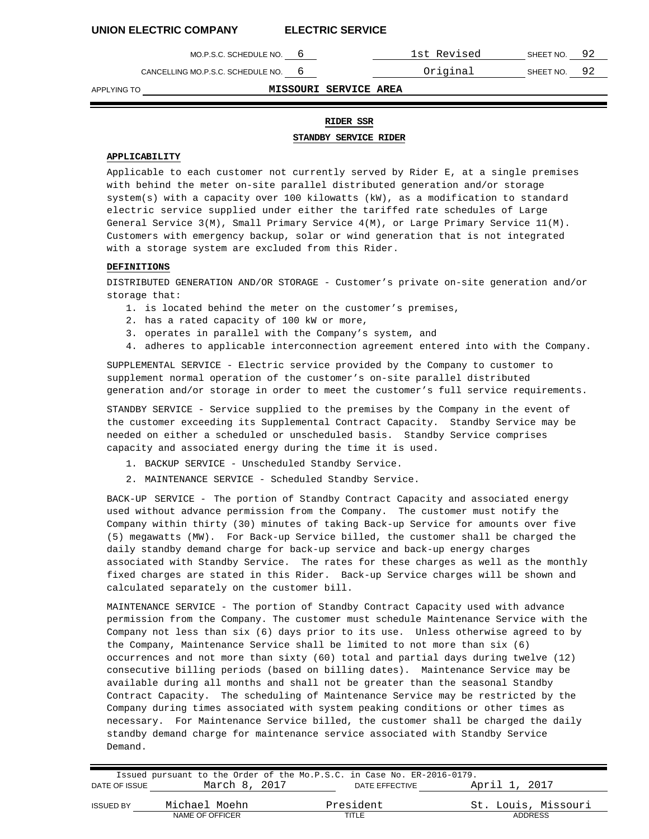| MO.P.S.C. SCHEDULE NO.            | 1st Revised | SHEET NO. | 92 |
|-----------------------------------|-------------|-----------|----|
| CANCELLING MO.P.S.C. SCHEDULE NO. | Original    | SHEET NO. | 92 |

APPLYING TO **MISSOURI SERVICE AREA**

# **RIDER SSR**

**STANDBY SERVICE RIDER**

### **APPLICABILITY**

Applicable to each customer not currently served by Rider E, at a single premises with behind the meter on-site parallel distributed generation and/or storage system(s) with a capacity over 100 kilowatts (kW), as a modification to standard electric service supplied under either the tariffed rate schedules of Large General Service 3(M), Small Primary Service 4(M), or Large Primary Service 11(M). Customers with emergency backup, solar or wind generation that is not integrated with a storage system are excluded from this Rider.

#### **DEFINITIONS**

DISTRIBUTED GENERATION AND/OR STORAGE - Customer's private on-site generation and/or storage that:

- 1. is located behind the meter on the customer's premises,
- 2. has a rated capacity of 100 kW or more,
- 3. operates in parallel with the Company's system, and
- 4. adheres to applicable interconnection agreement entered into with the Company.

SUPPLEMENTAL SERVICE - Electric service provided by the Company to customer to supplement normal operation of the customer's on-site parallel distributed generation and/or storage in order to meet the customer's full service requirements.

STANDBY SERVICE - Service supplied to the premises by the Company in the event of the customer exceeding its Supplemental Contract Capacity. Standby Service may be needed on either a scheduled or unscheduled basis. Standby Service comprises capacity and associated energy during the time it is used.

- 1. BACKUP SERVICE Unscheduled Standby Service.
- 2. MAINTENANCE SERVICE Scheduled Standby Service.

BACK-UP SERVICE - The portion of Standby Contract Capacity and associated energy used without advance permission from the Company. The customer must notify the Company within thirty (30) minutes of taking Back-up Service for amounts over five (5) megawatts (MW). For Back-up Service billed, the customer shall be charged the daily standby demand charge for back-up service and back-up energy charges associated with Standby Service. The rates for these charges as well as the monthly fixed charges are stated in this Rider. Back-up Service charges will be shown and calculated separately on the customer bill.

MAINTENANCE SERVICE - The portion of Standby Contract Capacity used with advance permission from the Company. The customer must schedule Maintenance Service with the Company not less than six (6) days prior to its use. Unless otherwise agreed to by the Company, Maintenance Service shall be limited to not more than six (6) occurrences and not more than sixty (60) total and partial days during twelve (12) consecutive billing periods (based on billing dates). Maintenance Service may be available during all months and shall not be greater than the seasonal Standby Contract Capacity. The scheduling of Maintenance Service may be restricted by the Company during times associated with system peaking conditions or other times as necessary. For Maintenance Service billed, the customer shall be charged the daily standby demand charge for maintenance service associated with Standby Service Demand.

|                  |                 | Issued pursuant to the Order of the Mo.P.S.C. in Case No. ER-2016-0179. |                     |
|------------------|-----------------|-------------------------------------------------------------------------|---------------------|
| DATE OF ISSUE    | March 8, 2017   | DATE EFFECTIVE                                                          | April 1, 2017       |
| <b>ISSUED BY</b> | Michael Moehn   | President                                                               | St. Louis, Missouri |
|                  | NAME OF OFFICER | TITLE                                                                   | ADDRESS             |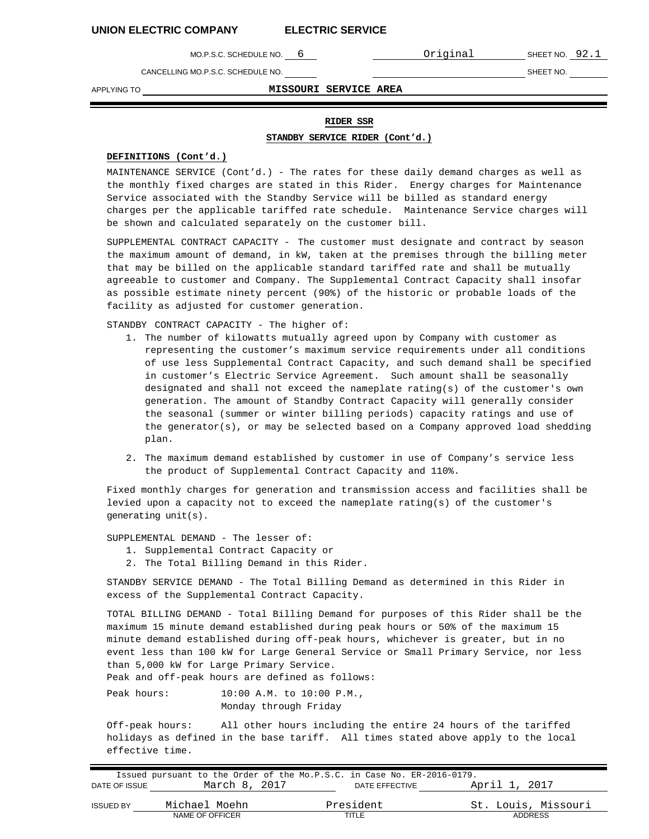MO.P.S.C. SCHEDULE NO. 6 **CONTACT CONTACT CONTACT SHEET NO. 92.1** 

CANCELLING MO.P.S.C. SCHEDULE NO. SHEET NO. SHEET NO.

APPLYING TO **MISSOURI SERVICE AREA**

#### **RIDER SSR**

**STANDBY SERVICE RIDER (Cont'd.)**

### **DEFINITIONS (Cont'd.)**

MAINTENANCE SERVICE (Cont'd.) - The rates for these daily demand charges as well as the monthly fixed charges are stated in this Rider. Energy charges for Maintenance Service associated with the Standby Service will be billed as standard energy charges per the applicable tariffed rate schedule. Maintenance Service charges will be shown and calculated separately on the customer bill.

SUPPLEMENTAL CONTRACT CAPACITY - The customer must designate and contract by season the maximum amount of demand, in kW, taken at the premises through the billing meter that may be billed on the applicable standard tariffed rate and shall be mutually agreeable to customer and Company. The Supplemental Contract Capacity shall insofar as possible estimate ninety percent (90%) of the historic or probable loads of the facility as adjusted for customer generation.

STANDBY CONTRACT CAPACITY - The higher of:

- 1. The number of kilowatts mutually agreed upon by Company with customer as representing the customer's maximum service requirements under all conditions of use less Supplemental Contract Capacity, and such demand shall be specified in customer's Electric Service Agreement. Such amount shall be seasonally designated and shall not exceed the nameplate rating(s) of the customer's own generation. The amount of Standby Contract Capacity will generally consider the seasonal (summer or winter billing periods) capacity ratings and use of the generator(s), or may be selected based on a Company approved load shedding plan.
- 2. The maximum demand established by customer in use of Company's service less the product of Supplemental Contract Capacity and 110%.

Fixed monthly charges for generation and transmission access and facilities shall be levied upon a capacity not to exceed the nameplate rating(s) of the customer's generating unit(s).

SUPPLEMENTAL DEMAND - The lesser of:

- 1. Supplemental Contract Capacity or
- 2. The Total Billing Demand in this Rider.

STANDBY SERVICE DEMAND - The Total Billing Demand as determined in this Rider in excess of the Supplemental Contract Capacity.

TOTAL BILLING DEMAND - Total Billing Demand for purposes of this Rider shall be the maximum 15 minute demand established during peak hours or 50% of the maximum 15 minute demand established during off-peak hours, whichever is greater, but in no event less than 100 kW for Large General Service or Small Primary Service, nor less than 5,000 kW for Large Primary Service.

Peak and off-peak hours are defined as follows:

Peak hours: 10:00 A.M. to 10:00 P.M., Monday through Friday

Off-peak hours: All other hours including the entire 24 hours of the tariffed holidays as defined in the base tariff. All times stated above apply to the local effective time.

|                  |                 | Issued pursuant to the Order of the Mo.P.S.C. in Case No. ER-2016-0179. |                     |
|------------------|-----------------|-------------------------------------------------------------------------|---------------------|
| DATE OF ISSUE    | March 8, 2017   | DATE EFFECTIVE                                                          | April 1, 2017       |
| <b>ISSUED BY</b> | Michael Moehn   | President                                                               | St. Louis, Missouri |
|                  | NAME OF OFFICER | TITLE                                                                   | <b>ADDRESS</b>      |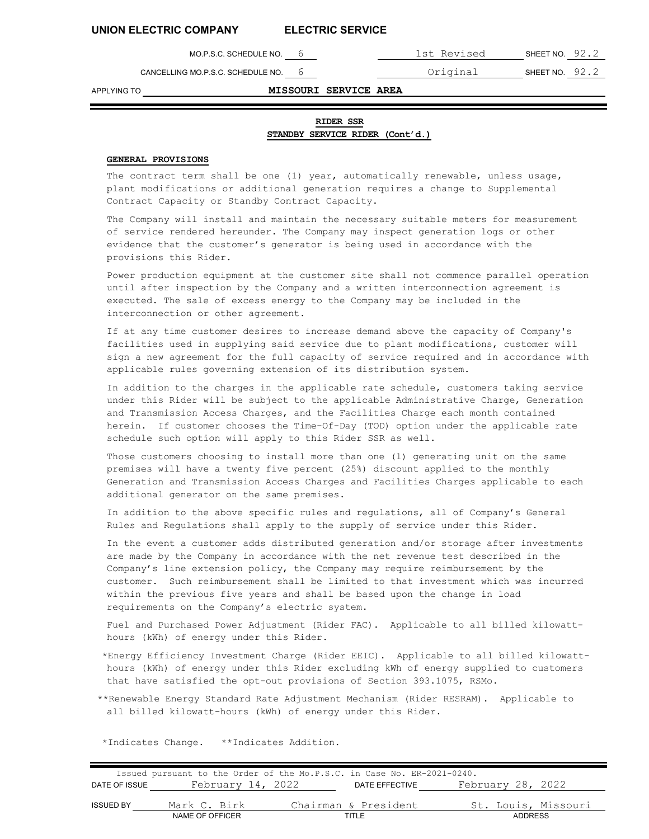CANCELLING MO.P.S.C. SCHEDULE NO. 6 **CANCELLING MO.P.S.C. SCHEDULE NO.** 6

MO.P.S.C. SCHEDULE NO. 6 1st Revised SHEET NO. 92.2

### APPLYING TO **MISSOURI SERVICE AREA**

**RIDER SSR STANDBY SERVICE RIDER (Cont'd.)**

#### **GENERAL PROVISIONS**

The contract term shall be one (1) year, automatically renewable, unless usage, plant modifications or additional generation requires a change to Supplemental Contract Capacity or Standby Contract Capacity.

The Company will install and maintain the necessary suitable meters for measurement of service rendered hereunder. The Company may inspect generation logs or other evidence that the customer's generator is being used in accordance with the provisions this Rider.

Power production equipment at the customer site shall not commence parallel operation until after inspection by the Company and a written interconnection agreement is executed. The sale of excess energy to the Company may be included in the interconnection or other agreement.

If at any time customer desires to increase demand above the capacity of Company's facilities used in supplying said service due to plant modifications, customer will sign a new agreement for the full capacity of service required and in accordance with applicable rules governing extension of its distribution system.

In addition to the charges in the applicable rate schedule, customers taking service under this Rider will be subject to the applicable Administrative Charge, Generation and Transmission Access Charges, and the Facilities Charge each month contained herein. If customer chooses the Time-Of-Day (TOD) option under the applicable rate schedule such option will apply to this Rider SSR as well.

Those customers choosing to install more than one (1) generating unit on the same premises will have a twenty five percent (25%) discount applied to the monthly Generation and Transmission Access Charges and Facilities Charges applicable to each additional generator on the same premises.

In addition to the above specific rules and regulations, all of Company's General Rules and Regulations shall apply to the supply of service under this Rider.

In the event a customer adds distributed generation and/or storage after investments are made by the Company in accordance with the net revenue test described in the Company's line extension policy, the Company may require reimbursement by the customer. Such reimbursement shall be limited to that investment which was incurred within the previous five years and shall be based upon the change in load requirements on the Company's electric system.

Fuel and Purchased Power Adjustment (Rider FAC). Applicable to all billed kilowatthours (kWh) of energy under this Rider.

\*Energy Efficiency Investment Charge (Rider EEIC). Applicable to all billed kilowatthours (kWh) of energy under this Rider excluding kWh of energy supplied to customers that have satisfied the opt-out provisions of Section 393.1075, RSMo.

\*\*Renewable Energy Standard Rate Adjustment Mechanism (Rider RESRAM). Applicable to all billed kilowatt-hours (kWh) of energy under this Rider.

\*Indicates Change. \*\*Indicates Addition.

|               | Issued pursuant to the Order of the Mo.P.S.C. in Case No. ER-2021-0240. |                      |                |                     |  |
|---------------|-------------------------------------------------------------------------|----------------------|----------------|---------------------|--|
| DATE OF ISSUE | February 14, 2022                                                       |                      | DATE EFFECTIVE | February 28, 2022   |  |
|               |                                                                         |                      |                |                     |  |
| ISSUED BY     | Mark C. Birk                                                            | Chairman & President |                | St. Louis, Missouri |  |
|               | NAME OF OFFICER                                                         | TITI F               |                | <b>ADDRESS</b>      |  |